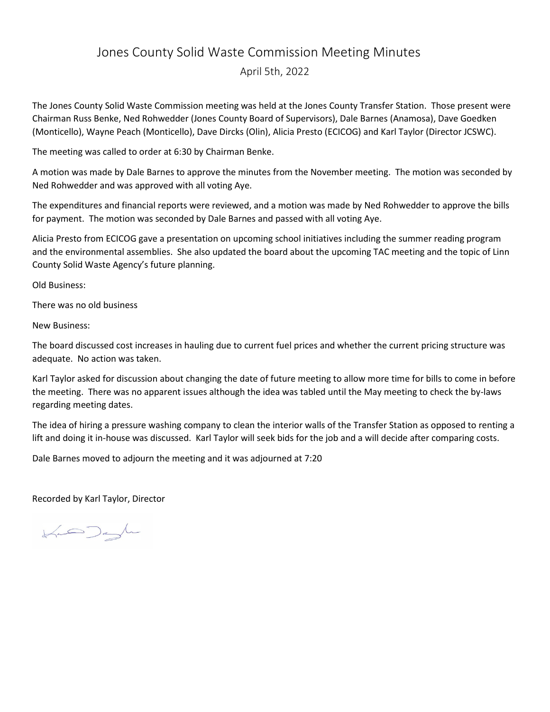## Jones County Solid Waste Commission Meeting Minutes

April 5th, 2022

The Jones County Solid Waste Commission meeting was held at the Jones County Transfer Station. Those present were Chairman Russ Benke, Ned Rohwedder (Jones County Board of Supervisors), Dale Barnes (Anamosa), Dave Goedken (Monticello), Wayne Peach (Monticello), Dave Dircks (Olin), Alicia Presto (ECICOG) and Karl Taylor (Director JCSWC).

The meeting was called to order at 6:30 by Chairman Benke.

A motion was made by Dale Barnes to approve the minutes from the November meeting. The motion was seconded by Ned Rohwedder and was approved with all voting Aye.

The expenditures and financial reports were reviewed, and a motion was made by Ned Rohwedder to approve the bills for payment. The motion was seconded by Dale Barnes and passed with all voting Aye.

Alicia Presto from ECICOG gave a presentation on upcoming school initiatives including the summer reading program and the environmental assemblies. She also updated the board about the upcoming TAC meeting and the topic of Linn County Solid Waste Agency's future planning.

Old Business:

There was no old business

New Business:

The board discussed cost increases in hauling due to current fuel prices and whether the current pricing structure was adequate. No action was taken.

Karl Taylor asked for discussion about changing the date of future meeting to allow more time for bills to come in before the meeting. There was no apparent issues although the idea was tabled until the May meeting to check the by-laws regarding meeting dates.

The idea of hiring a pressure washing company to clean the interior walls of the Transfer Station as opposed to renting a lift and doing it in-house was discussed. Karl Taylor will seek bids for the job and a will decide after comparing costs.

Dale Barnes moved to adjourn the meeting and it was adjourned at 7:20

Recorded by Karl Taylor, Director